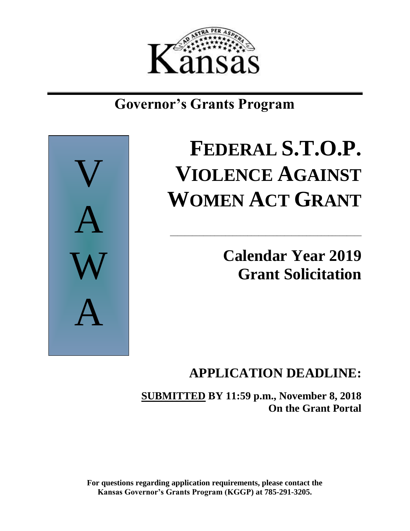

# **Governor's Grants Program**



# **FEDERAL S.T.O.P. VIOLENCE AGAINST WOMEN ACT GRANT**

\_\_\_\_\_\_\_\_\_\_\_\_\_\_\_\_\_\_\_\_\_\_\_\_\_\_\_\_\_\_\_\_\_\_\_\_\_\_\_\_\_\_\_\_\_\_\_\_\_\_\_\_

# **Calendar Year 2019 Grant Solicitation**

# **APPLICATION DEADLINE:**

**SUBMITTED BY 11:59 p.m., November 8, 2018 On the Grant Portal**

**For questions regarding application requirements, please contact the Kansas Governor's Grants Program (KGGP) at 785-291-3205.**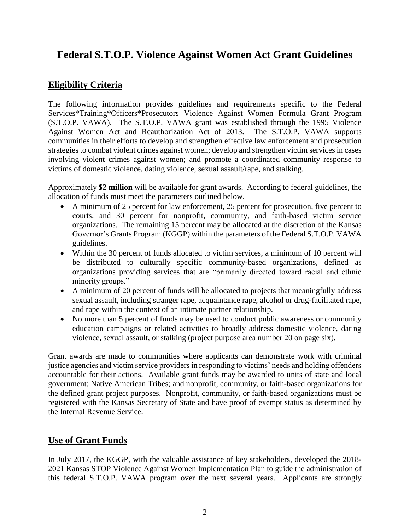# **Federal S.T.O.P. Violence Against Women Act Grant Guidelines**

# **Eligibility Criteria**

The following information provides guidelines and requirements specific to the Federal Services\*Training\*Officers\*Prosecutors Violence Against Women Formula Grant Program (S.T.O.P. VAWA). The S.T.O.P. VAWA grant was established through the 1995 Violence Against Women Act and Reauthorization Act of 2013. The S.T.O.P. VAWA supports communities in their efforts to develop and strengthen effective law enforcement and prosecution strategies to combat violent crimes against women; develop and strengthen victim services in cases involving violent crimes against women; and promote a coordinated community response to victims of domestic violence, dating violence, sexual assault/rape, and stalking.

Approximately **\$2 million** will be available for grant awards. According to federal guidelines, the allocation of funds must meet the parameters outlined below.

- A minimum of 25 percent for law enforcement, 25 percent for prosecution, five percent to courts, and 30 percent for nonprofit, community, and faith-based victim service organizations. The remaining 15 percent may be allocated at the discretion of the Kansas Governor's Grants Program (KGGP) within the parameters of the Federal S.T.O.P. VAWA guidelines.
- Within the 30 percent of funds allocated to victim services, a minimum of 10 percent will be distributed to culturally specific community-based organizations, defined as organizations providing services that are "primarily directed toward racial and ethnic minority groups."
- A minimum of 20 percent of funds will be allocated to projects that meaningfully address sexual assault, including stranger rape, acquaintance rape, alcohol or drug-facilitated rape, and rape within the context of an intimate partner relationship.
- No more than 5 percent of funds may be used to conduct public awareness or community education campaigns or related activities to broadly address domestic violence, dating violence, sexual assault, or stalking (project purpose area number 20 on page six).

Grant awards are made to communities where applicants can demonstrate work with criminal justice agencies and victim service providers in responding to victims' needs and holding offenders accountable for their actions. Available grant funds may be awarded to units of state and local government; Native American Tribes; and nonprofit, community, or faith-based organizations for the defined grant project purposes. Nonprofit, community, or faith-based organizations must be registered with the Kansas Secretary of State and have proof of exempt status as determined by the Internal Revenue Service.

# **Use of Grant Funds**

In July 2017, the KGGP, with the valuable assistance of key stakeholders, developed the 2018- 2021 Kansas STOP Violence Against Women Implementation Plan to guide the administration of this federal S.T.O.P. VAWA program over the next several years. Applicants are strongly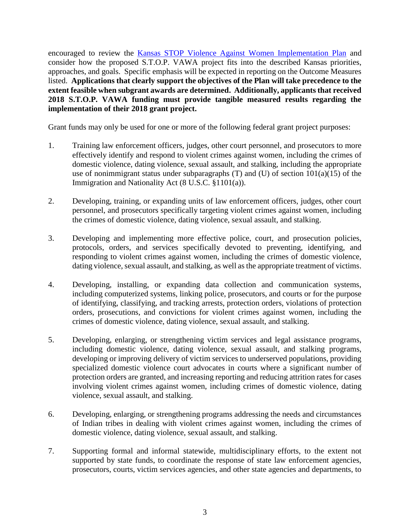encouraged to review the [Kansas STOP Violence Against Women Implementation Plan](http://www.grants.ks.gov/opportunities/federal-s-t-o-p-violence-against-women-grant-(s-t-o-p-vawa)) and consider how the proposed S.T.O.P. VAWA project fits into the described Kansas priorities, approaches, and goals. Specific emphasis will be expected in reporting on the Outcome Measures listed. **Applications that clearly support the objectives of the Plan will take precedence to the extent feasible when subgrant awards are determined. Additionally, applicants that received 2018 S.T.O.P. VAWA funding must provide tangible measured results regarding the implementation of their 2018 grant project.**

Grant funds may only be used for one or more of the following federal grant project purposes:

- 1. Training law enforcement officers, judges, other court personnel, and prosecutors to more effectively identify and respond to violent crimes against women, including the crimes of domestic violence, dating violence, sexual assault, and stalking, including the appropriate use of nonimmigrant status under subparagraphs  $(T)$  and  $(U)$  of section  $101(a)(15)$  of the Immigration and Nationality Act (8 U.S.C. §1101(a)).
- 2. Developing, training, or expanding units of law enforcement officers, judges, other court personnel, and prosecutors specifically targeting violent crimes against women, including the crimes of domestic violence, dating violence, sexual assault, and stalking.
- 3. Developing and implementing more effective police, court, and prosecution policies, protocols, orders, and services specifically devoted to preventing, identifying, and responding to violent crimes against women, including the crimes of domestic violence, dating violence, sexual assault, and stalking, as well as the appropriate treatment of victims.
- 4. Developing, installing, or expanding data collection and communication systems, including computerized systems, linking police, prosecutors, and courts or for the purpose of identifying, classifying, and tracking arrests, protection orders, violations of protection orders, prosecutions, and convictions for violent crimes against women, including the crimes of domestic violence, dating violence, sexual assault, and stalking.
- 5. Developing, enlarging, or strengthening victim services and legal assistance programs, including domestic violence, dating violence, sexual assault, and stalking programs, developing or improving delivery of victim services to underserved populations, providing specialized domestic violence court advocates in courts where a significant number of protection orders are granted, and increasing reporting and reducing attrition rates for cases involving violent crimes against women, including crimes of domestic violence, dating violence, sexual assault, and stalking.
- 6. Developing, enlarging, or strengthening programs addressing the needs and circumstances of Indian tribes in dealing with violent crimes against women, including the crimes of domestic violence, dating violence, sexual assault, and stalking.
- 7. Supporting formal and informal statewide, multidisciplinary efforts, to the extent not supported by state funds, to coordinate the response of state law enforcement agencies, prosecutors, courts, victim services agencies, and other state agencies and departments, to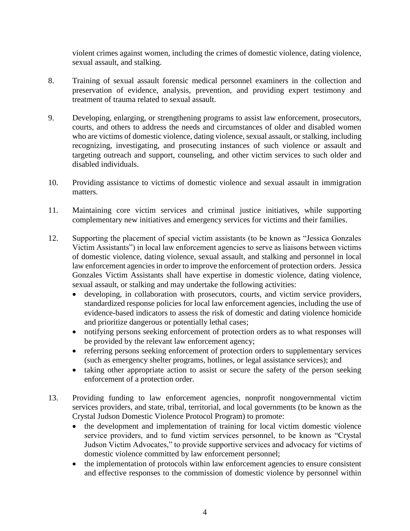violent crimes against women, including the crimes of domestic violence, dating violence, sexual assault, and stalking.

- 8. Training of sexual assault forensic medical personnel examiners in the collection and preservation of evidence, analysis, prevention, and providing expert testimony and treatment of trauma related to sexual assault.
- 9. Developing, enlarging, or strengthening programs to assist law enforcement, prosecutors, courts, and others to address the needs and circumstances of older and disabled women who are victims of domestic violence, dating violence, sexual assault, or stalking, including recognizing, investigating, and prosecuting instances of such violence or assault and targeting outreach and support, counseling, and other victim services to such older and disabled individuals.
- 10. Providing assistance to victims of domestic violence and sexual assault in immigration matters.
- 11. Maintaining core victim services and criminal justice initiatives, while supporting complementary new initiatives and emergency services for victims and their families.
- 12. Supporting the placement of special victim assistants (to be known as "Jessica Gonzales Victim Assistants") in local law enforcement agencies to serve as liaisons between victims of domestic violence, dating violence, sexual assault, and stalking and personnel in local law enforcement agencies in order to improve the enforcement of protection orders. Jessica Gonzales Victim Assistants shall have expertise in domestic violence, dating violence, sexual assault, or stalking and may undertake the following activities:
	- developing, in collaboration with prosecutors, courts, and victim service providers, standardized response policies for local law enforcement agencies, including the use of evidence-based indicators to assess the risk of domestic and dating violence homicide and prioritize dangerous or potentially lethal cases;
	- notifying persons seeking enforcement of protection orders as to what responses will be provided by the relevant law enforcement agency;
	- referring persons seeking enforcement of protection orders to supplementary services (such as emergency shelter programs, hotlines, or legal assistance services); and
	- taking other appropriate action to assist or secure the safety of the person seeking enforcement of a protection order.
- 13. Providing funding to law enforcement agencies, nonprofit nongovernmental victim services providers, and state, tribal, territorial, and local governments (to be known as the Crystal Judson Domestic Violence Protocol Program) to promote:
	- the development and implementation of training for local victim domestic violence service providers, and to fund victim services personnel, to be known as "Crystal Judson Victim Advocates," to provide supportive services and advocacy for victims of domestic violence committed by law enforcement personnel;
	- the implementation of protocols within law enforcement agencies to ensure consistent and effective responses to the commission of domestic violence by personnel within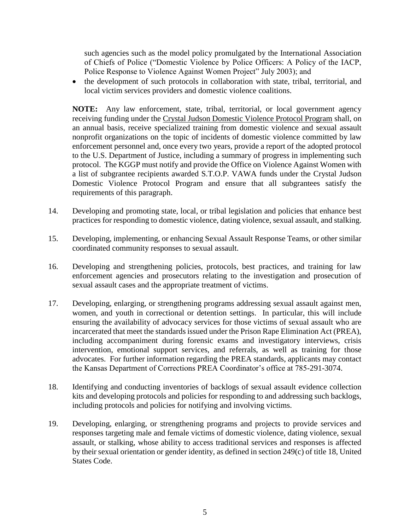such agencies such as the model policy promulgated by the International Association of Chiefs of Police ("Domestic Violence by Police Officers: A Policy of the IACP, Police Response to Violence Against Women Project" July 2003); and

• the development of such protocols in collaboration with state, tribal, territorial, and local victim services providers and domestic violence coalitions.

**NOTE:** Any law enforcement, state, tribal, territorial, or local government agency receiving funding under the Crystal Judson Domestic Violence Protocol Program shall, on an annual basis, receive specialized training from domestic violence and sexual assault nonprofit organizations on the topic of incidents of domestic violence committed by law enforcement personnel and, once every two years, provide a report of the adopted protocol to the U.S. Department of Justice, including a summary of progress in implementing such protocol. The KGGP must notify and provide the Office on Violence Against Women with a list of subgrantee recipients awarded S.T.O.P. VAWA funds under the Crystal Judson Domestic Violence Protocol Program and ensure that all subgrantees satisfy the requirements of this paragraph.

- 14. Developing and promoting state, local, or tribal legislation and policies that enhance best practices for responding to domestic violence, dating violence, sexual assault, and stalking.
- 15. Developing, implementing, or enhancing Sexual Assault Response Teams, or other similar coordinated community responses to sexual assault.
- 16. Developing and strengthening policies, protocols, best practices, and training for law enforcement agencies and prosecutors relating to the investigation and prosecution of sexual assault cases and the appropriate treatment of victims.
- 17. Developing, enlarging, or strengthening programs addressing sexual assault against men, women, and youth in correctional or detention settings. In particular, this will include ensuring the availability of advocacy services for those victims of sexual assault who are incarcerated that meet the standards issued under the Prison Rape Elimination Act (PREA), including accompaniment during forensic exams and investigatory interviews, crisis intervention, emotional support services, and referrals, as well as training for those advocates. For further information regarding the PREA standards, applicants may contact the Kansas Department of Corrections PREA Coordinator's office at 785-291-3074.
- 18. Identifying and conducting inventories of backlogs of sexual assault evidence collection kits and developing protocols and policies for responding to and addressing such backlogs, including protocols and policies for notifying and involving victims.
- 19. Developing, enlarging, or strengthening programs and projects to provide services and responses targeting male and female victims of domestic violence, dating violence, sexual assault, or stalking, whose ability to access traditional services and responses is affected by their sexual orientation or gender identity, as defined in section 249(c) of title 18, United States Code.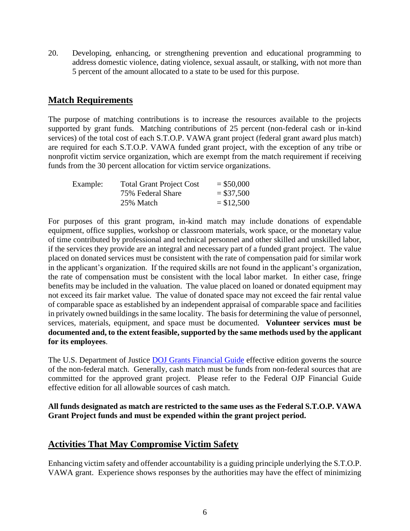20. Developing, enhancing, or strengthening prevention and educational programming to address domestic violence, dating violence, sexual assault, or stalking, with not more than 5 percent of the amount allocated to a state to be used for this purpose.

# **Match Requirements**

The purpose of matching contributions is to increase the resources available to the projects supported by grant funds. Matching contributions of 25 percent (non-federal cash or in-kind services) of the total cost of each S.T.O.P. VAWA grant project (federal grant award plus match) are required for each S.T.O.P. VAWA funded grant project, with the exception of any tribe or nonprofit victim service organization, which are exempt from the match requirement if receiving funds from the 30 percent allocation for victim service organizations.

| Example: | <b>Total Grant Project Cost</b> | $=$ \$50,000 |
|----------|---------------------------------|--------------|
|          | 75% Federal Share               | $= $37,500$  |
|          | 25% Match                       | $=$ \$12,500 |

For purposes of this grant program, in-kind match may include donations of expendable equipment, office supplies, workshop or classroom materials, work space, or the monetary value of time contributed by professional and technical personnel and other skilled and unskilled labor, if the services they provide are an integral and necessary part of a funded grant project. The value placed on donated services must be consistent with the rate of compensation paid for similar work in the applicant's organization. If the required skills are not found in the applicant's organization, the rate of compensation must be consistent with the local labor market. In either case, fringe benefits may be included in the valuation. The value placed on loaned or donated equipment may not exceed its fair market value. The value of donated space may not exceed the fair rental value of comparable space as established by an independent appraisal of comparable space and facilities in privately owned buildings in the same locality. The basis for determining the value of personnel, services, materials, equipment, and space must be documented. **Volunteer services must be documented and, to the extent feasible, supported by the same methods used by the applicant for its employees**.

The U.S. Department of Justice **DOJ Grants Financial Guide** effective edition governs the source of the non-federal match. Generally, cash match must be funds from non-federal sources that are committed for the approved grant project. Please refer to the Federal OJP Financial Guide effective edition for all allowable sources of cash match.

**All funds designated as match are restricted to the same uses as the Federal S.T.O.P. VAWA Grant Project funds and must be expended within the grant project period.**

# **Activities That May Compromise Victim Safety**

Enhancing victim safety and offender accountability is a guiding principle underlying the S.T.O.P. VAWA grant. Experience shows responses by the authorities may have the effect of minimizing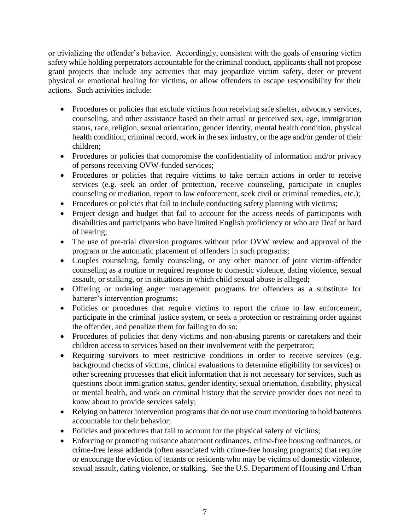or trivializing the offender's behavior. Accordingly, consistent with the goals of ensuring victim safety while holding perpetrators accountable for the criminal conduct, applicants shall not propose grant projects that include any activities that may jeopardize victim safety, deter or prevent physical or emotional healing for victims, or allow offenders to escape responsibility for their actions. Such activities include:

- Procedures or policies that exclude victims from receiving safe shelter, advocacy services, counseling, and other assistance based on their actual or perceived sex, age, immigration status, race, religion, sexual orientation, gender identity, mental health condition, physical health condition, criminal record, work in the sex industry, or the age and/or gender of their children;
- Procedures or policies that compromise the confidentiality of information and/or privacy of persons receiving OVW-funded services;
- Procedures or policies that require victims to take certain actions in order to receive services (e.g. seek an order of protection, receive counseling, participate in couples counseling or mediation, report to law enforcement, seek civil or criminal remedies, etc.);
- Procedures or policies that fail to include conducting safety planning with victims;
- Project design and budget that fail to account for the access needs of participants with disabilities and participants who have limited English proficiency or who are Deaf or hard of hearing;
- The use of pre-trial diversion programs without prior OVW review and approval of the program or the automatic placement of offenders in such programs;
- Couples counseling, family counseling, or any other manner of joint victim-offender counseling as a routine or required response to domestic violence, dating violence, sexual assault, or stalking, or in situations in which child sexual abuse is alleged;
- Offering or ordering anger management programs for offenders as a substitute for batterer's intervention programs;
- Policies or procedures that require victims to report the crime to law enforcement, participate in the criminal justice system, or seek a protection or restraining order against the offender, and penalize them for failing to do so;
- Procedures of policies that deny victims and non-abusing parents or caretakers and their children access to services based on their involvement with the perpetrator;
- Requiring survivors to meet restrictive conditions in order to receive services (e.g. background checks of victims, clinical evaluations to determine eligibility for services) or other screening processes that elicit information that is not necessary for services, such as questions about immigration status, gender identity, sexual orientation, disability, physical or mental health, and work on criminal history that the service provider does not need to know about to provide services safely;
- Relying on batterer intervention programs that do not use court monitoring to hold batterers accountable for their behavior;
- Policies and procedures that fail to account for the physical safety of victims;
- Enforcing or promoting nuisance abatement ordinances, crime-free housing ordinances, or crime-free lease addenda (often associated with crime-free housing programs) that require or encourage the eviction of tenants or residents who may be victims of domestic violence, sexual assault, dating violence, or stalking. See the U.S. Department of Housing and Urban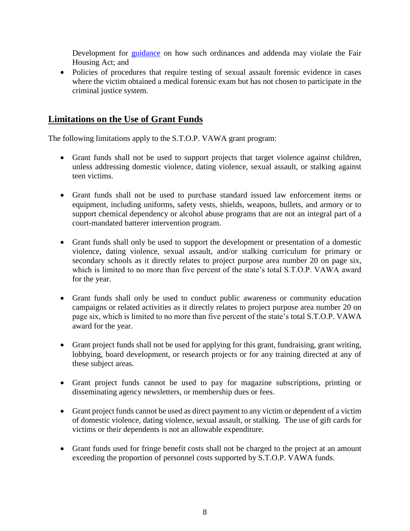Development for [guidance](https://www.hud.gov/sites/documents/FINALNUISANCEORDGDNCE.PDF) on how such ordinances and addenda may violate the Fair Housing Act; and

• Policies of procedures that require testing of sexual assault forensic evidence in cases where the victim obtained a medical forensic exam but has not chosen to participate in the criminal justice system.

# **Limitations on the Use of Grant Funds**

The following limitations apply to the S.T.O.P. VAWA grant program:

- Grant funds shall not be used to support projects that target violence against children, unless addressing domestic violence, dating violence, sexual assault, or stalking against teen victims.
- Grant funds shall not be used to purchase standard issued law enforcement items or equipment, including uniforms, safety vests, shields, weapons, bullets, and armory or to support chemical dependency or alcohol abuse programs that are not an integral part of a court-mandated batterer intervention program.
- Grant funds shall only be used to support the development or presentation of a domestic violence, dating violence, sexual assault, and/or stalking curriculum for primary or secondary schools as it directly relates to project purpose area number 20 on page six, which is limited to no more than five percent of the state's total S.T.O.P. VAWA award for the year.
- Grant funds shall only be used to conduct public awareness or community education campaigns or related activities as it directly relates to project purpose area number 20 on page six, which is limited to no more than five percent of the state's total S.T.O.P. VAWA award for the year.
- Grant project funds shall not be used for applying for this grant, fundraising, grant writing, lobbying, board development, or research projects or for any training directed at any of these subject areas.
- Grant project funds cannot be used to pay for magazine subscriptions, printing or disseminating agency newsletters, or membership dues or fees.
- Grant project funds cannot be used as direct payment to any victim or dependent of a victim of domestic violence, dating violence, sexual assault, or stalking. The use of gift cards for victims or their dependents is not an allowable expenditure.
- Grant funds used for fringe benefit costs shall not be charged to the project at an amount exceeding the proportion of personnel costs supported by S.T.O.P. VAWA funds.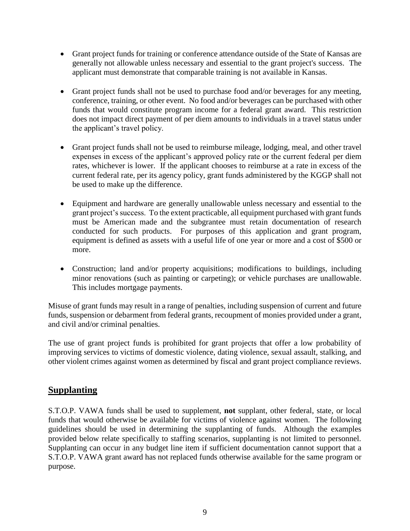- Grant project funds for training or conference attendance outside of the State of Kansas are generally not allowable unless necessary and essential to the grant project's success. The applicant must demonstrate that comparable training is not available in Kansas.
- Grant project funds shall not be used to purchase food and/or beverages for any meeting, conference, training, or other event. No food and/or beverages can be purchased with other funds that would constitute program income for a federal grant award. This restriction does not impact direct payment of per diem amounts to individuals in a travel status under the applicant's travel policy.
- Grant project funds shall not be used to reimburse mileage, lodging, meal, and other travel expenses in excess of the applicant's approved policy rate or the current federal per diem rates, whichever is lower. If the applicant chooses to reimburse at a rate in excess of the current federal rate, per its agency policy, grant funds administered by the KGGP shall not be used to make up the difference.
- Equipment and hardware are generally unallowable unless necessary and essential to the grant project's success. To the extent practicable, all equipment purchased with grant funds must be American made and the subgrantee must retain documentation of research conducted for such products. For purposes of this application and grant program, equipment is defined as assets with a useful life of one year or more and a cost of \$500 or more.
- Construction; land and/or property acquisitions; modifications to buildings, including minor renovations (such as painting or carpeting); or vehicle purchases are unallowable. This includes mortgage payments.

Misuse of grant funds may result in a range of penalties, including suspension of current and future funds, suspension or debarment from federal grants, recoupment of monies provided under a grant, and civil and/or criminal penalties.

The use of grant project funds is prohibited for grant projects that offer a low probability of improving services to victims of domestic violence, dating violence, sexual assault, stalking, and other violent crimes against women as determined by fiscal and grant project compliance reviews.

# **Supplanting**

S.T.O.P. VAWA funds shall be used to supplement, **not** supplant, other federal, state, or local funds that would otherwise be available for victims of violence against women. The following guidelines should be used in determining the supplanting of funds. Although the examples provided below relate specifically to staffing scenarios, supplanting is not limited to personnel. Supplanting can occur in any budget line item if sufficient documentation cannot support that a S.T.O.P. VAWA grant award has not replaced funds otherwise available for the same program or purpose.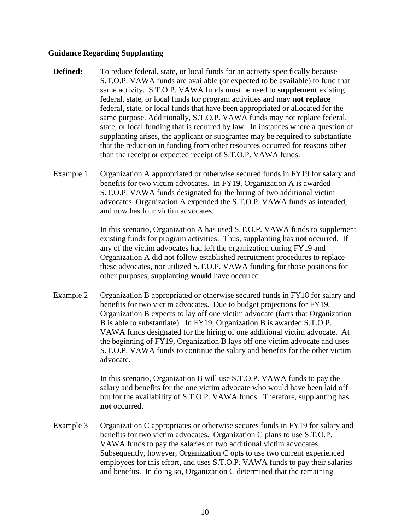#### **Guidance Regarding Supplanting**

- **Defined:** To reduce federal, state, or local funds for an activity specifically because S.T.O.P. VAWA funds are available (or expected to be available) to fund that same activity. S.T.O.P. VAWA funds must be used to **supplement** existing federal, state, or local funds for program activities and may **not replace** federal, state, or local funds that have been appropriated or allocated for the same purpose. Additionally, S.T.O.P. VAWA funds may not replace federal, state, or local funding that is required by law. In instances where a question of supplanting arises, the applicant or subgrantee may be required to substantiate that the reduction in funding from other resources occurred for reasons other than the receipt or expected receipt of S.T.O.P. VAWA funds.
- Example 1 Organization A appropriated or otherwise secured funds in FY19 for salary and benefits for two victim advocates. In FY19, Organization A is awarded S.T.O.P. VAWA funds designated for the hiring of two additional victim advocates. Organization A expended the S.T.O.P. VAWA funds as intended, and now has four victim advocates.

In this scenario, Organization A has used S.T.O.P. VAWA funds to supplement existing funds for program activities. Thus, supplanting has **not** occurred. If any of the victim advocates had left the organization during FY19 and Organization A did not follow established recruitment procedures to replace these advocates, nor utilized S.T.O.P. VAWA funding for those positions for other purposes, supplanting **would** have occurred.

Example 2 Organization B appropriated or otherwise secured funds in FY18 for salary and benefits for two victim advocates. Due to budget projections for FY19, Organization B expects to lay off one victim advocate (facts that Organization B is able to substantiate). In FY19, Organization B is awarded S.T.O.P. VAWA funds designated for the hiring of one additional victim advocate. At the beginning of FY19, Organization B lays off one victim advocate and uses S.T.O.P. VAWA funds to continue the salary and benefits for the other victim advocate.

> In this scenario, Organization B will use S.T.O.P. VAWA funds to pay the salary and benefits for the one victim advocate who would have been laid off but for the availability of S.T.O.P. VAWA funds. Therefore, supplanting has **not** occurred.

Example 3 Organization C appropriates or otherwise secures funds in FY19 for salary and benefits for two victim advocates. Organization C plans to use S.T.O.P. VAWA funds to pay the salaries of two additional victim advocates. Subsequently, however, Organization C opts to use two current experienced employees for this effort, and uses S.T.O.P. VAWA funds to pay their salaries and benefits. In doing so, Organization C determined that the remaining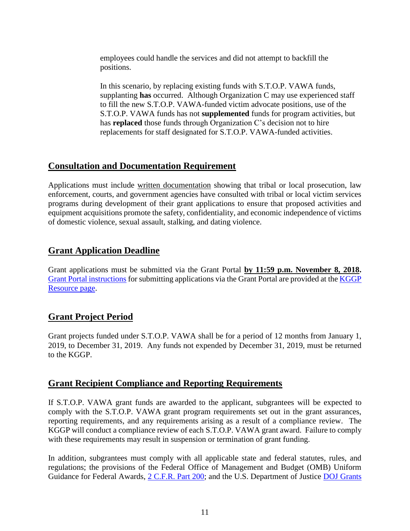employees could handle the services and did not attempt to backfill the positions.

In this scenario, by replacing existing funds with S.T.O.P. VAWA funds, supplanting **has** occurred. Although Organization C may use experienced staff to fill the new S.T.O.P. VAWA-funded victim advocate positions, use of the S.T.O.P. VAWA funds has not **supplemented** funds for program activities, but has **replaced** those funds through Organization C's decision not to hire replacements for staff designated for S.T.O.P. VAWA-funded activities.

# **Consultation and Documentation Requirement**

Applications must include written documentation showing that tribal or local prosecution, law enforcement, courts, and government agencies have consulted with tribal or local victim services programs during development of their grant applications to ensure that proposed activities and equipment acquisitions promote the safety, confidentiality, and economic independence of victims of domestic violence, sexual assault, stalking, and dating violence.

# **Grant Application Deadline**

Grant applications must be submitted via the Grant Portal **by 11:59 p.m. November 8, 2018.** [Grant Portal instructions](http://grants.ks.gov/docs/default-source/how-to-guides/application-portal-instructions.pdf?sfvrsn=4) for submitting applications via the Grant Portal are provided at the [KGGP](http://www.grants.ks.gov/resources/getting-started)  [Resource page.](http://www.grants.ks.gov/resources/getting-started)

# **Grant Project Period**

Grant projects funded under S.T.O.P. VAWA shall be for a period of 12 months from January 1, 2019, to December 31, 2019. Any funds not expended by December 31, 2019, must be returned to the KGGP.

# **Grant Recipient Compliance and Reporting Requirements**

If S.T.O.P. VAWA grant funds are awarded to the applicant, subgrantees will be expected to comply with the S.T.O.P. VAWA grant program requirements set out in the grant assurances, reporting requirements, and any requirements arising as a result of a compliance review. The KGGP will conduct a compliance review of each S.T.O.P. VAWA grant award. Failure to comply with these requirements may result in suspension or termination of grant funding.

In addition, subgrantees must comply with all applicable state and federal statutes, rules, and regulations; the provisions of the Federal Office of Management and Budget (OMB) Uniform Guidance for Federal Awards, [2 C.F.R.](http://www.ecfr.gov/cgi-bin/text-idx?SID=2c6d1c9f8de1f9619110b4599d84a234&mc=true&node=pt2.1.200&rgn=div5#_top) Part 200; and the U.S. Department of Justice [DOJ Grants](http://ojp.gov/financialguide/DOJ/index.htm)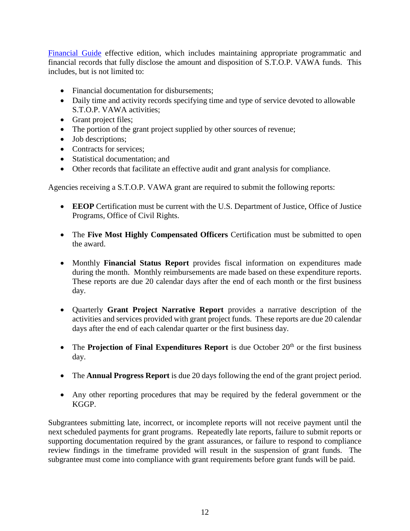[Financial Guide](http://ojp.gov/financialguide/DOJ/index.htm) effective edition, which includes maintaining appropriate programmatic and financial records that fully disclose the amount and disposition of S.T.O.P. VAWA funds. This includes, but is not limited to:

- Financial documentation for disbursements;
- Daily time and activity records specifying time and type of service devoted to allowable S.T.O.P. VAWA activities;
- Grant project files;
- The portion of the grant project supplied by other sources of revenue;
- Job descriptions;
- Contracts for services:
- Statistical documentation: and
- Other records that facilitate an effective audit and grant analysis for compliance.

Agencies receiving a S.T.O.P. VAWA grant are required to submit the following reports:

- **EEOP** Certification must be current with the U.S. Department of Justice, Office of Justice Programs, Office of Civil Rights.
- The **Five Most Highly Compensated Officers** Certification must be submitted to open the award.
- Monthly **Financial Status Report** provides fiscal information on expenditures made during the month. Monthly reimbursements are made based on these expenditure reports. These reports are due 20 calendar days after the end of each month or the first business day.
- Quarterly **Grant Project Narrative Report** provides a narrative description of the activities and services provided with grant project funds. These reports are due 20 calendar days after the end of each calendar quarter or the first business day.
- The **Projection of Final Expenditures Report** is due October  $20<sup>th</sup>$  or the first business day.
- The **Annual Progress Report** is due 20 days following the end of the grant project period.
- Any other reporting procedures that may be required by the federal government or the KGGP.

Subgrantees submitting late, incorrect, or incomplete reports will not receive payment until the next scheduled payments for grant programs. Repeatedly late reports, failure to submit reports or supporting documentation required by the grant assurances, or failure to respond to compliance review findings in the timeframe provided will result in the suspension of grant funds. The subgrantee must come into compliance with grant requirements before grant funds will be paid.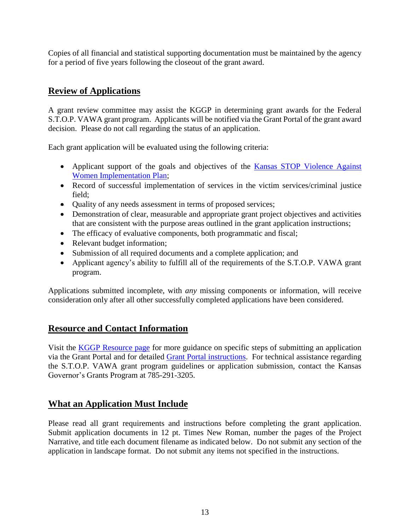Copies of all financial and statistical supporting documentation must be maintained by the agency for a period of five years following the closeout of the grant award.

# **Review of Applications**

A grant review committee may assist the KGGP in determining grant awards for the Federal S.T.O.P. VAWA grant program. Applicants will be notified via the Grant Portal of the grant award decision. Please do not call regarding the status of an application.

Each grant application will be evaluated using the following criteria:

- Applicant support of the goals and objectives of the Kansas STOP Violence Against [Women Implementation Plan;](http://www.grants.ks.gov/docs/default-source/Grant-Reports/final-ffy-2017-2020-stop-vawa-implementation-plan.pdf?sfvrsn=2)
- Record of successful implementation of services in the victim services/criminal justice field;
- Quality of any needs assessment in terms of proposed services;
- Demonstration of clear, measurable and appropriate grant project objectives and activities that are consistent with the purpose areas outlined in the grant application instructions;
- The efficacy of evaluative components, both programmatic and fiscal;
- Relevant budget information;
- Submission of all required documents and a complete application; and
- Applicant agency's ability to fulfill all of the requirements of the S.T.O.P. VAWA grant program.

Applications submitted incomplete, with *any* missing components or information, will receive consideration only after all other successfully completed applications have been considered.

# **Resource and Contact Information**

Visit the [KGGP Resource page](http://www.grants.ks.gov/resources/getting-started) for more guidance on specific steps of submitting an application via the Grant Portal and for detailed [Grant Portal instructions.](http://grants.ks.gov/docs/default-source/how-to-guides/application-portal-instructions.pdf?sfvrsn=4) For technical assistance regarding the S.T.O.P. VAWA grant program guidelines or application submission, contact the Kansas Governor's Grants Program at 785-291-3205.

# **What an Application Must Include**

Please read all grant requirements and instructions before completing the grant application. Submit application documents in 12 pt. Times New Roman, number the pages of the Project Narrative, and title each document filename as indicated below. Do not submit any section of the application in landscape format. Do not submit any items not specified in the instructions.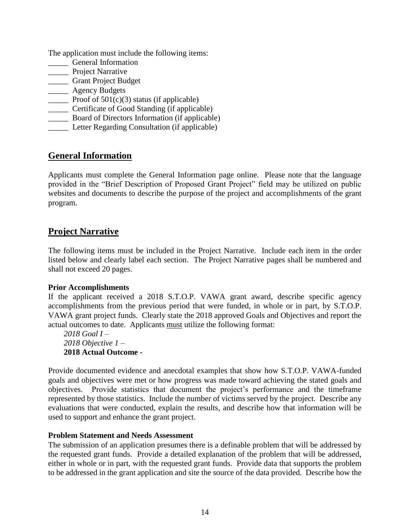The application must include the following items:

- \_\_\_\_\_ General Information
- **\_\_\_\_\_** Project Narrative
- \_\_\_\_\_ Grant Project Budget
- \_\_\_\_\_ Agency Budgets
- **Proof of 501(c)(3) status (if applicable)**
- \_\_\_\_\_ Certificate of Good Standing (if applicable)
- \_\_\_\_\_ Board of Directors Information (if applicable)
- \_\_\_\_\_ Letter Regarding Consultation (if applicable)

# **General Information**

Applicants must complete the General Information page online. Please note that the language provided in the "Brief Description of Proposed Grant Project" field may be utilized on public websites and documents to describe the purpose of the project and accomplishments of the grant program.

# **Project Narrative**

The following items must be included in the Project Narrative. Include each item in the order listed below and clearly label each section. The Project Narrative pages shall be numbered and shall not exceed 20 pages.

#### **Prior Accomplishments**

If the applicant received a 2018 S.T.O.P. VAWA grant award, describe specific agency accomplishments from the previous period that were funded, in whole or in part, by S.T.O.P. VAWA grant project funds. Clearly state the 2018 approved Goals and Objectives and report the actual outcomes to date. Applicants must utilize the following format:

*2018 Goal I – 2018 Objective 1 –* **2018 Actual Outcome -**

Provide documented evidence and anecdotal examples that show how S.T.O.P. VAWA-funded goals and objectives were met or how progress was made toward achieving the stated goals and objectives. Provide statistics that document the project's performance and the timeframe represented by those statistics. Include the number of victims served by the project. Describe any evaluations that were conducted, explain the results, and describe how that information will be used to support and enhance the grant project.

#### **Problem Statement and Needs Assessment**

The submission of an application presumes there is a definable problem that will be addressed by the requested grant funds. Provide a detailed explanation of the problem that will be addressed, either in whole or in part, with the requested grant funds. Provide data that supports the problem to be addressed in the grant application and site the source of the data provided. Describe how the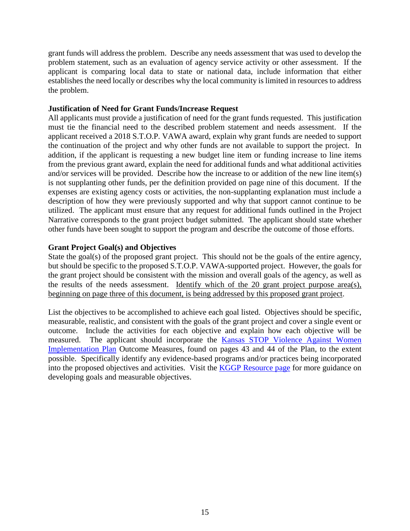grant funds will address the problem. Describe any needs assessment that was used to develop the problem statement, such as an evaluation of agency service activity or other assessment. If the applicant is comparing local data to state or national data, include information that either establishes the need locally or describes why the local community is limited in resources to address the problem.

#### **Justification of Need for Grant Funds/Increase Request**

All applicants must provide a justification of need for the grant funds requested. This justification must tie the financial need to the described problem statement and needs assessment. If the applicant received a 2018 S.T.O.P. VAWA award, explain why grant funds are needed to support the continuation of the project and why other funds are not available to support the project. In addition, if the applicant is requesting a new budget line item or funding increase to line items from the previous grant award, explain the need for additional funds and what additional activities and/or services will be provided. Describe how the increase to or addition of the new line item(s) is not supplanting other funds, per the definition provided on page nine of this document. If the expenses are existing agency costs or activities, the non-supplanting explanation must include a description of how they were previously supported and why that support cannot continue to be utilized. The applicant must ensure that any request for additional funds outlined in the Project Narrative corresponds to the grant project budget submitted. The applicant should state whether other funds have been sought to support the program and describe the outcome of those efforts.

#### **Grant Project Goal(s) and Objectives**

State the goal(s) of the proposed grant project. This should not be the goals of the entire agency, but should be specific to the proposed S.T.O.P. VAWA-supported project. However, the goals for the grant project should be consistent with the mission and overall goals of the agency, as well as the results of the needs assessment. Identify which of the 20 grant project purpose area(s), beginning on page three of this document, is being addressed by this proposed grant project.

List the objectives to be accomplished to achieve each goal listed. Objectives should be specific, measurable, realistic, and consistent with the goals of the grant project and cover a single event or outcome. Include the activities for each objective and explain how each objective will be measured. The applicant should incorporate the [Kansas STOP Violence Against Women](http://www.grants.ks.gov/opportunities/federal-s-t-o-p-violence-against-women-grant-(s-t-o-p-vawa))  [Implementation Plan](http://www.grants.ks.gov/opportunities/federal-s-t-o-p-violence-against-women-grant-(s-t-o-p-vawa)) Outcome Measures, found on pages 43 and 44 of the Plan, to the extent possible. Specifically identify any evidence-based programs and/or practices being incorporated into the proposed objectives and activities. Visit the [KGGP Resource page](http://www.grants.ks.gov/resources/getting-started) for more guidance on developing goals and measurable objectives.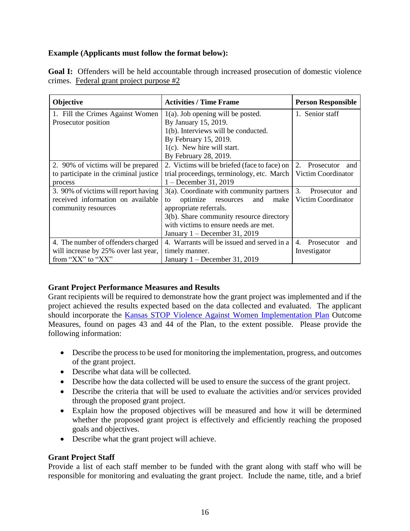#### **Example (Applicants must follow the format below):**

| Objective                              | <b>Activities / Time Frame</b>               | <b>Person Responsible</b> |  |
|----------------------------------------|----------------------------------------------|---------------------------|--|
| 1. Fill the Crimes Against Women       | $1(a)$ . Job opening will be posted.         | 1. Senior staff           |  |
| Prosecutor position                    | By January 15, 2019.                         |                           |  |
|                                        | 1(b). Interviews will be conducted.          |                           |  |
|                                        | By February 15, 2019.                        |                           |  |
|                                        | $1(c)$ . New hire will start.                |                           |  |
|                                        | By February 28, 2019.                        |                           |  |
| 2. 90% of victims will be prepared     | 2. Victims will be briefed (face to face) on | Prosecutor<br>2.<br>and   |  |
| to participate in the criminal justice | trial proceedings, terminology, etc. March   | Victim Coordinator        |  |
| process                                | 1 – December 31, 2019                        |                           |  |
| 3. 90% of victims will report having   | $3(a)$ . Coordinate with community partners  | 3.<br>Prosecutor and      |  |
| received information on available      | optimize<br>make<br>resources<br>and<br>to   | Victim Coordinator        |  |
| community resources                    | appropriate referrals.                       |                           |  |
|                                        | 3(b). Share community resource directory     |                           |  |
|                                        | with victims to ensure needs are met.        |                           |  |
|                                        | January $1 -$ December 31, 2019              |                           |  |
| 4. The number of offenders charged     | 4. Warrants will be issued and served in a   | Prosecutor<br>4.<br>and   |  |
| will increase by 25% over last year,   | timely manner.                               | Investigator              |  |
| from "XX" to "XX"                      | January $1 -$ December 31, 2019              |                           |  |

**Goal I:** Offenders will be held accountable through increased prosecution of domestic violence crimes. Federal grant project purpose #2

# **Grant Project Performance Measures and Results**

Grant recipients will be required to demonstrate how the grant project was implemented and if the project achieved the results expected based on the data collected and evaluated. The applicant should incorporate the [Kansas STOP Violence Against Women Implementation Plan](http://www.grants.ks.gov/opportunities/federal-s-t-o-p-violence-against-women-grant-(s-t-o-p-vawa)) Outcome Measures, found on pages 43 and 44 of the Plan, to the extent possible. Please provide the following information:

- Describe the process to be used for monitoring the implementation, progress, and outcomes of the grant project.
- Describe what data will be collected.
- Describe how the data collected will be used to ensure the success of the grant project.
- Describe the criteria that will be used to evaluate the activities and/or services provided through the proposed grant project.
- Explain how the proposed objectives will be measured and how it will be determined whether the proposed grant project is effectively and efficiently reaching the proposed goals and objectives.
- Describe what the grant project will achieve.

# **Grant Project Staff**

Provide a list of each staff member to be funded with the grant along with staff who will be responsible for monitoring and evaluating the grant project. Include the name, title, and a brief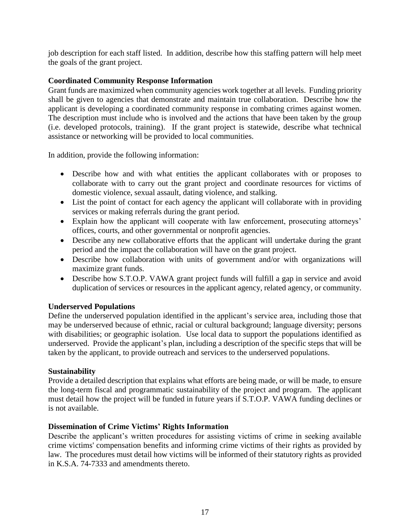job description for each staff listed. In addition, describe how this staffing pattern will help meet the goals of the grant project.

#### **Coordinated Community Response Information**

Grant funds are maximized when community agencies work together at all levels. Funding priority shall be given to agencies that demonstrate and maintain true collaboration. Describe how the applicant is developing a coordinated community response in combating crimes against women. The description must include who is involved and the actions that have been taken by the group (i.e. developed protocols, training). If the grant project is statewide, describe what technical assistance or networking will be provided to local communities.

In addition, provide the following information:

- Describe how and with what entities the applicant collaborates with or proposes to collaborate with to carry out the grant project and coordinate resources for victims of domestic violence, sexual assault, dating violence, and stalking.
- List the point of contact for each agency the applicant will collaborate with in providing services or making referrals during the grant period.
- Explain how the applicant will cooperate with law enforcement, prosecuting attorneys' offices, courts, and other governmental or nonprofit agencies.
- Describe any new collaborative efforts that the applicant will undertake during the grant period and the impact the collaboration will have on the grant project.
- Describe how collaboration with units of government and/or with organizations will maximize grant funds.
- Describe how S.T.O.P. VAWA grant project funds will fulfill a gap in service and avoid duplication of services or resources in the applicant agency, related agency, or community.

#### **Underserved Populations**

Define the underserved population identified in the applicant's service area, including those that may be underserved because of ethnic, racial or cultural background; language diversity; persons with disabilities; or geographic isolation. Use local data to support the populations identified as underserved. Provide the applicant's plan, including a description of the specific steps that will be taken by the applicant, to provide outreach and services to the underserved populations.

#### **Sustainability**

Provide a detailed description that explains what efforts are being made, or will be made, to ensure the long-term fiscal and programmatic sustainability of the project and program. The applicant must detail how the project will be funded in future years if S.T.O.P. VAWA funding declines or is not available.

#### **Dissemination of Crime Victims' Rights Information**

Describe the applicant's written procedures for assisting victims of crime in seeking available crime victims' compensation benefits and informing crime victims of their rights as provided by law. The procedures must detail how victims will be informed of their statutory rights as provided in K.S.A. 74-7333 and amendments thereto.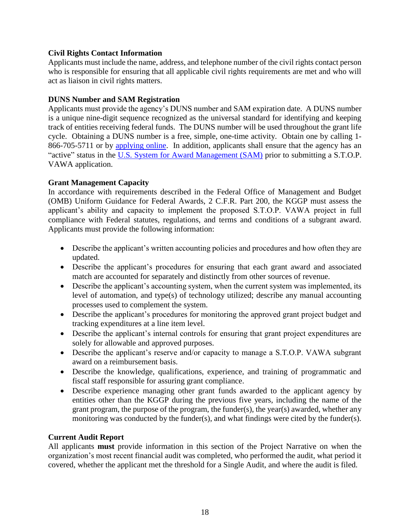#### **Civil Rights Contact Information**

Applicants must include the name, address, and telephone number of the civil rights contact person who is responsible for ensuring that all applicable civil rights requirements are met and who will act as liaison in civil rights matters.

#### **DUNS Number and SAM Registration**

Applicants must provide the agency's DUNS number and SAM expiration date. A DUNS number is a unique nine-digit sequence recognized as the universal standard for identifying and keeping track of entities receiving federal funds. The DUNS number will be used throughout the grant life cycle. Obtaining a DUNS number is a free, simple, one-time activity. Obtain one by calling 1 866-705-5711 or by [applying online.](https://www.dandb.com/product/companyupdate/companyupdateLogin?execution=e1s1) In addition, applicants shall ensure that the agency has an "active" status in the [U.S. System for Award Management \(SAM\)](http://www.sam.gov/) prior to submitting a S.T.O.P. VAWA application.

#### **Grant Management Capacity**

In accordance with requirements described in the Federal Office of Management and Budget (OMB) Uniform Guidance for Federal Awards, 2 C.F.R. Part 200, the KGGP must assess the applicant's ability and capacity to implement the proposed S.T.O.P. VAWA project in full compliance with Federal statutes, regulations, and terms and conditions of a subgrant award. Applicants must provide the following information:

- Describe the applicant's written accounting policies and procedures and how often they are updated.
- Describe the applicant's procedures for ensuring that each grant award and associated match are accounted for separately and distinctly from other sources of revenue.
- Describe the applicant's accounting system, when the current system was implemented, its level of automation, and type(s) of technology utilized; describe any manual accounting processes used to complement the system.
- Describe the applicant's procedures for monitoring the approved grant project budget and tracking expenditures at a line item level.
- Describe the applicant's internal controls for ensuring that grant project expenditures are solely for allowable and approved purposes.
- Describe the applicant's reserve and/or capacity to manage a S.T.O.P. VAWA subgrant award on a reimbursement basis.
- Describe the knowledge, qualifications, experience, and training of programmatic and fiscal staff responsible for assuring grant compliance.
- Describe experience managing other grant funds awarded to the applicant agency by entities other than the KGGP during the previous five years, including the name of the grant program, the purpose of the program, the funder(s), the year(s) awarded, whether any monitoring was conducted by the funder(s), and what findings were cited by the funder(s).

#### **Current Audit Report**

All applicants **must** provide information in this section of the Project Narrative on when the organization's most recent financial audit was completed, who performed the audit, what period it covered, whether the applicant met the threshold for a Single Audit, and where the audit is filed.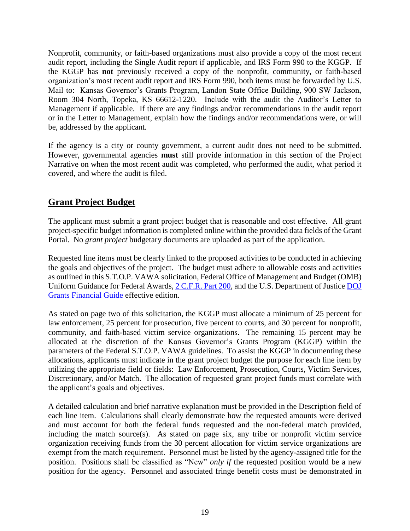Nonprofit, community, or faith-based organizations must also provide a copy of the most recent audit report, including the Single Audit report if applicable, and IRS Form 990 to the KGGP. If the KGGP has **not** previously received a copy of the nonprofit, community, or faith-based organization's most recent audit report and IRS Form 990, both items must be forwarded by U.S. Mail to: Kansas Governor's Grants Program, Landon State Office Building, 900 SW Jackson, Room 304 North, Topeka, KS 66612-1220. Include with the audit the Auditor's Letter to Management if applicable. If there are any findings and/or recommendations in the audit report or in the Letter to Management, explain how the findings and/or recommendations were, or will be, addressed by the applicant.

If the agency is a city or county government, a current audit does not need to be submitted. However, governmental agencies **must** still provide information in this section of the Project Narrative on when the most recent audit was completed, who performed the audit, what period it covered, and where the audit is filed.

# **Grant Project Budget**

The applicant must submit a grant project budget that is reasonable and cost effective. All grant project-specific budget information is completed online within the provided data fields of the Grant Portal. No *grant project* budgetary documents are uploaded as part of the application.

Requested line items must be clearly linked to the proposed activities to be conducted in achieving the goals and objectives of the project. The budget must adhere to allowable costs and activities as outlined in this S.T.O.P. VAWA solicitation, Federal Office of Management and Budget (OMB) Uniform Guidance for Federal Awards, [2 C.F.R.](http://www.ecfr.gov/cgi-bin/text-idx?SID=2c6d1c9f8de1f9619110b4599d84a234&mc=true&node=pt2.1.200&rgn=div5#_top) Part 200, and the U.S. Department of Justice DOJ [Grants Financial Guide](http://ojp.gov/financialguide/DOJ/index.htm) effective edition.

As stated on page two of this solicitation, the KGGP must allocate a minimum of 25 percent for law enforcement, 25 percent for prosecution, five percent to courts, and 30 percent for nonprofit, community, and faith-based victim service organizations. The remaining 15 percent may be allocated at the discretion of the Kansas Governor's Grants Program (KGGP) within the parameters of the Federal S.T.O.P. VAWA guidelines. To assist the KGGP in documenting these allocations, applicants must indicate in the grant project budget the purpose for each line item by utilizing the appropriate field or fields: Law Enforcement, Prosecution, Courts, Victim Services, Discretionary, and/or Match. The allocation of requested grant project funds must correlate with the applicant's goals and objectives.

A detailed calculation and brief narrative explanation must be provided in the Description field of each line item. Calculations shall clearly demonstrate how the requested amounts were derived and must account for both the federal funds requested and the non-federal match provided, including the match source(s). As stated on page six, any tribe or nonprofit victim service organization receiving funds from the 30 percent allocation for victim service organizations are exempt from the match requirement. Personnel must be listed by the agency-assigned title for the position. Positions shall be classified as "New" *only if* the requested position would be a new position for the agency. Personnel and associated fringe benefit costs must be demonstrated in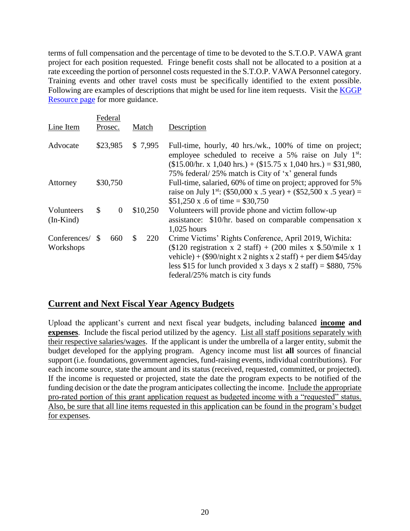terms of full compensation and the percentage of time to be devoted to the S.T.O.P. VAWA grant project for each position requested. Fringe benefit costs shall not be allocated to a position at a rate exceeding the portion of personnel costs requested in the S.T.O.P. VAWA Personnel category. Training events and other travel costs must be specifically identified to the extent possible. Following are examples of descriptions that might be used for line item requests. Visit the [KGGP](http://www.grants.ks.gov/resources/getting-started)  [Resource page](http://www.grants.ks.gov/resources/getting-started) for more guidance.

| Line Item                 |                      | Federal<br>Prosec. |         | Match    | Description                                                                                                                                                                                                                                                                                                      |  |
|---------------------------|----------------------|--------------------|---------|----------|------------------------------------------------------------------------------------------------------------------------------------------------------------------------------------------------------------------------------------------------------------------------------------------------------------------|--|
| Advocate                  | \$23,985<br>\$30,750 |                    | \$7,995 |          | Full-time, hourly, 40 hrs./wk., 100% of time on project;<br>employee scheduled to receive a 5% raise on July $1^{st}$ .<br>$($15.00/hr. x 1,040 hrs.) + ($15.75 x 1,040 hrs.) = $31,980,$<br>75% federal/25% match is City of 'x' general funds                                                                  |  |
| Attorney                  |                      |                    |         |          | Full-time, salaried, 60% of time on project; approved for 5%<br>raise on July 1 <sup>st</sup> : (\$50,000 x .5 year) + (\$52,500 x .5 year) =<br>\$51,250 x .6 of time = \$30,750                                                                                                                                |  |
| Volunteers<br>$(In-Kind)$ | \$                   | $\theta$           |         | \$10,250 | Volunteers will provide phone and victim follow-up<br>assistance: \$10/hr. based on comparable compensation x<br>$1,025$ hours                                                                                                                                                                                   |  |
| Conferences/<br>Workshops | \$.                  | 660                | \$.     | 220      | Crime Victims' Rights Conference, April 2019, Wichita:<br>(\$120 registration x 2 staff) + (200 miles x \$.50/mile x 1<br>vehicle) + $(\frac{$90}{night} x 2$ nights x 2 staff) + per diem $\frac{$45}{day}$<br>less \$15 for lunch provided x 3 days x 2 staff) = \$880, 75%<br>federal/25% match is city funds |  |

# **Current and Next Fiscal Year Agency Budgets**

Upload the applicant's current and next fiscal year budgets, including balanced **income and expenses**. Include the fiscal period utilized by the agency. List all staff positions separately with their respective salaries/wages. If the applicant is under the umbrella of a larger entity, submit the budget developed for the applying program. Agency income must list **all** sources of financial support (i.e. foundations, government agencies, fund-raising events, individual contributions). For each income source, state the amount and its status (received, requested, committed, or projected). If the income is requested or projected, state the date the program expects to be notified of the funding decision or the date the program anticipates collecting the income. Include the appropriate pro-rated portion of this grant application request as budgeted income with a "requested" status. Also, be sure that all line items requested in this application can be found in the program's budget for expenses.